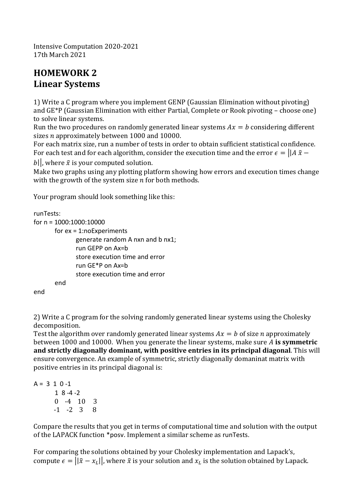Intensive Computation 2020-2021 17th March 2021

## **HOMEWORK 2 Linear Systems**

1) Write a C program where you implement GENP (Gaussian Elimination without pivoting) and GE\*P (Gaussian Elimination with either Partial, Complete or Rook pivoting – choose one) to solve linear systems.

Run the two procedures on randomly generated linear systems  $Ax = b$  considering different sizes  $n$  approximately between 1000 and 10000.

For each matrix size, run a number of tests in order to obtain sufficient statistical confidence. For each test and for each algorithm, consider the execution time and the error  $\epsilon = ||A \tilde{x} -$ 

 $|b|$ , where  $\tilde{x}$  is your computed solution.

Make two graphs using any plotting platform showing how errors and execution times change with the growth of the system size  $n$  for both methods.

Your program should look something like this:

## runTests:

```
for n = 1000:1000:10000
```

```
for ex = 1:noExperiments
      generate random A nxn and b nx1;
      run GEPP on Ax=b
      store execution time and error
      run GE*P on Ax=b
      store execution time and error
end
```
end

2) Write a C program for the solving randomly generated linear systems using the Cholesky decomposition.

Test the algorithm over randomly generated linear systems  $Ax = b$  of size *n* approximately between 1000 and 10000. When you generate the linear systems, make sure **is symmetric and strictly diagonally dominant, with positive entries in its principal diagonal**. This will ensure convergence. An example of symmetric, strictly diagonally domaninat matrix with positive entries in its principal diagonal is:

 $A = 3 1 0 - 1$  $18 - 4 - 2$  $0 \t -4 \t 10 \t 3$  $-1$   $-2$  3 8

Compare the results that you get in terms of computational time and solution with the output of the LAPACK function \*posv. Implement a similar scheme as runTests.

For comparing the solutions obtained by your Cholesky implementation and Lapack's, compute  $\epsilon = ||\tilde{x} - x_L||$ , where  $\tilde{x}$  is your solution and  $x_L$  is the solution obtained by Lapack.